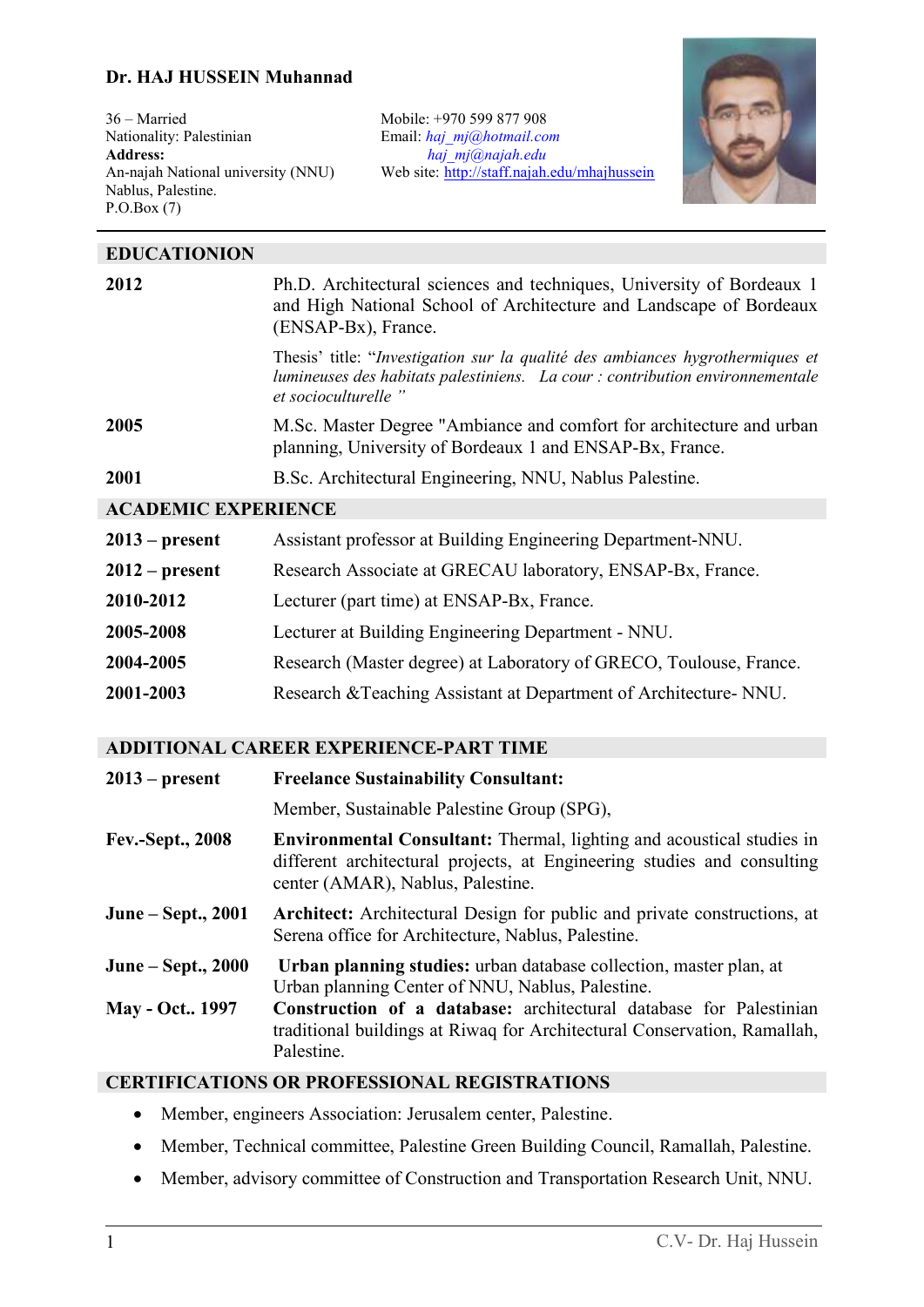#### **Dr. HAJ HUSSEIN Muhannad**

36 – Married Nationality: Palestinian **Address:**  An-najah National university (NNU) Nablus, Palestine. P.O.Box (7)

Mobile: +970 599 877 908 Email: *[haj\\_mj@hotmail.com](mailto:haj_mj@hotmail.com) [haj\\_mj@najah.edu](mailto:Haj_mj@najah.edu)* Web site: <http://staff.najah.edu/mhajhussein>



| <b>EDUCATIONION</b>                           |                                                                                                                                                                                                                                                                                        |
|-----------------------------------------------|----------------------------------------------------------------------------------------------------------------------------------------------------------------------------------------------------------------------------------------------------------------------------------------|
| 2012                                          | Ph.D. Architectural sciences and techniques, University of Bordeaux 1<br>and High National School of Architecture and Landscape of Bordeaux<br>(ENSAP-Bx), France.                                                                                                                     |
|                                               | Thesis' title: "Investigation sur la qualité des ambiances hygrothermiques et<br>lumineuses des habitats palestiniens. La cour : contribution environnementale<br>et socioculturelle"                                                                                                  |
| 2005                                          | M.Sc. Master Degree "Ambiance and comfort for architecture and urban<br>planning, University of Bordeaux 1 and ENSAP-Bx, France.                                                                                                                                                       |
| 2001                                          | B.Sc. Architectural Engineering, NNU, Nablus Palestine.                                                                                                                                                                                                                                |
| <b>ACADEMIC EXPERIENCE</b>                    |                                                                                                                                                                                                                                                                                        |
| $2013$ – present                              | Assistant professor at Building Engineering Department-NNU.                                                                                                                                                                                                                            |
| $2012$ – present                              | Research Associate at GRECAU laboratory, ENSAP-Bx, France.                                                                                                                                                                                                                             |
| 2010-2012                                     | Lecturer (part time) at ENSAP-Bx, France.                                                                                                                                                                                                                                              |
| 2005-2008                                     | Lecturer at Building Engineering Department - NNU.                                                                                                                                                                                                                                     |
| 2004-2005                                     | Research (Master degree) at Laboratory of GRECO, Toulouse, France.                                                                                                                                                                                                                     |
| 2001-2003                                     | Research & Teaching Assistant at Department of Architecture- NNU.                                                                                                                                                                                                                      |
| <b>ADDITIONAL CAREER EXPERIENCE-PART TIME</b> |                                                                                                                                                                                                                                                                                        |
| $2013$ – present                              | <b>Freelance Sustainability Consultant:</b>                                                                                                                                                                                                                                            |
|                                               | Member, Sustainable Palestine Group (SPG),                                                                                                                                                                                                                                             |
| <b>Fev.-Sept., 2008</b>                       | <b>Environmental Consultant:</b> Thermal, lighting and acoustical studies in<br>different architectural projects, at Engineering studies and consulting<br>center (AMAR), Nablus, Palestine.                                                                                           |
| June - Sept., 2001                            | Architect: Architectural Design for public and private constructions, at<br>Serena office for Architecture, Nablus, Palestine.                                                                                                                                                         |
| June – Sept., 2000<br><b>May - Oct 1997</b>   | Urban planning studies: urban database collection, master plan, at<br>Urban planning Center of NNU, Nablus, Palestine.<br>Construction of a database: architectural database for Palestinian<br>traditional buildings at Riwaq for Architectural Conservation, Ramallah,<br>Palestine. |
|                                               |                                                                                                                                                                                                                                                                                        |

## **CERTIFICATIONS OR PROFESSIONAL REGISTRATIONS**

- Member, engineers Association: Jerusalem center, Palestine.
- Member, Technical committee, Palestine Green Building Council, Ramallah, Palestine.
- Member, advisory committee of Construction and Transportation Research Unit, NNU.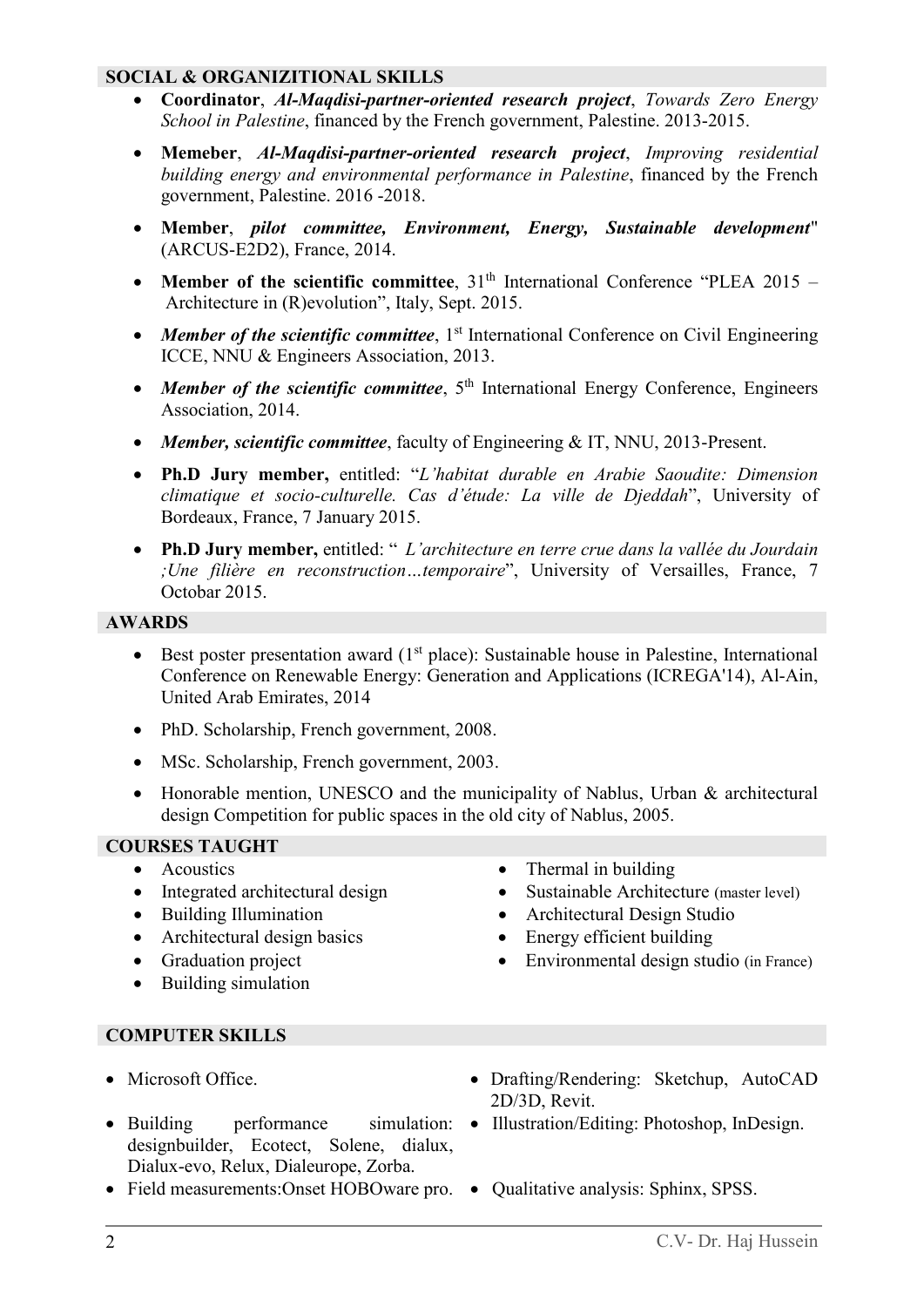### **SOCIAL & ORGANIZITIONAL SKILLS**

- **Coordinator**, *Al-Maqdisi-partner-oriented research project*, *Towards Zero Energy School in Palestine*, financed by the French government, Palestine. 2013-2015.
- **Memeber**, *Al-Maqdisi-partner-oriented research project*, *Improving residential building energy and environmental performance in Palestine*, financed by the French government, Palestine. 2016 -2018.
- **Member**, *pilot committee, Environment, Energy, Sustainable development*" (ARCUS-E2D2), France, 2014.
- **Member of the scientific committee**, 31<sup>th</sup> International Conference "PLEA 2015 Architecture in (R)evolution", Italy, Sept. 2015.
- Member of the scientific committee, 1<sup>st</sup> International Conference on Civil Engineering ICCE, NNU & Engineers Association, 2013.
- Member of the scientific committee, 5<sup>th</sup> International Energy Conference, Engineers Association, 2014.
- *Member, scientific committee*, faculty of Engineering & IT, NNU, 2013-Present.
- **Ph.D Jury member,** entitled: "*L'habitat durable en Arabie Saoudite: Dimension climatique et socio-culturelle. Cas d'étude: La ville de Djeddah*", University of Bordeaux, France, 7 January 2015.
- **Ph.D Jury member,** entitled: " *L'architecture en terre crue dans la vallée du Jourdain ;Une filière en reconstruction…temporaire*", University of Versailles, France, 7 Octobar 2015.

## **AWARDS**

- Best poster presentation award  $(1<sup>st</sup>$  place): Sustainable house in Palestine, International Conference on Renewable Energy: Generation and Applications (ICREGA'14), Al-Ain, United Arab Emirates, 2014
- PhD. Scholarship, French government, 2008.
- MSc. Scholarship, French government, 2003.
- Honorable mention, UNESCO and the municipality of Nablus, Urban & architectural design Competition for public spaces in the old city of Nablus, 2005.

# **COURSES TAUGHT**

- 
- 
- 
- Architectural design basics Energy efficient building
- 
- Building simulation
- Acoustics Thermal in building
- Integrated architectural design Sustainable Architecture (master level)
- Building Illumination Architectural Design Studio
	-
- Graduation project Environmental design studio (in France)

#### **COMPUTER SKILLS**

- 
- Building performance simulation: Illustration/Editing: Photoshop, InDesign. designbuilder, Ecotect, Solene, dialux, Dialux-evo, Relux, Dialeurope, Zorba.
- Field measurements: Onset HOBOware pro. Qualitative analysis: Sphinx, SPSS.
- Microsoft Office. Drafting/Rendering: Sketchup, AutoCAD 2D/3D, Revit.
	-
	-